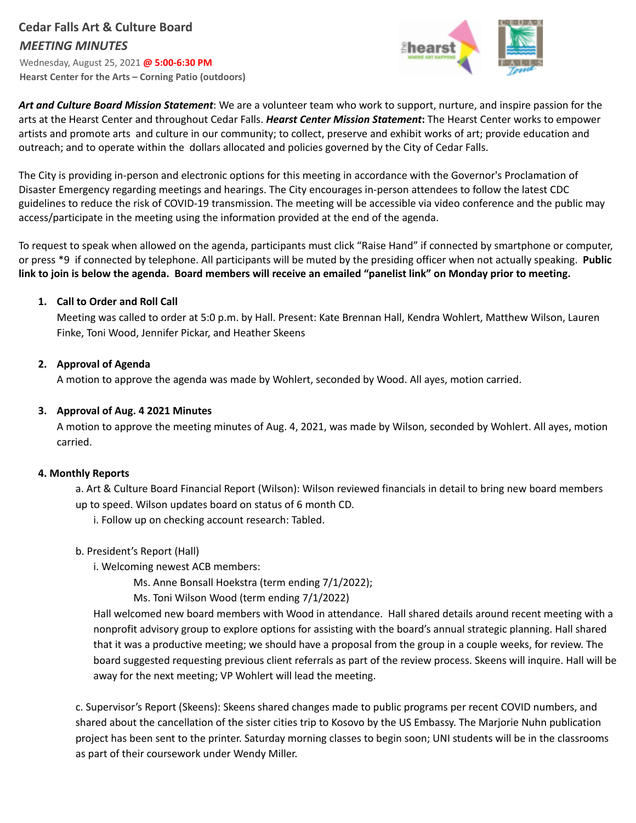# **Cedar Falls Art & Culture Board** *MEETING MINUTES*

Wednesday, August 25, 2021 **@ 5:00-6:30 PM Hearst Center for the Arts – Corning Patio (outdoors)**



*Art and Culture Board Mission Statement*: We are a volunteer team who work to support, nurture, and inspire passion for the arts at the Hearst Center and throughout Cedar Falls. *Hearst Center Mission Statement***:** The Hearst Center works to empower artists and promote arts and culture in our community; to collect, preserve and exhibit works of art; provide education and outreach; and to operate within the dollars allocated and policies governed by the City of Cedar Falls.

The City is providing in-person and electronic options for this meeting in accordance with the Governor's Proclamation of Disaster Emergency regarding meetings and hearings. The City encourages in-person attendees to follow the latest CDC guidelines to reduce the risk of COVID-19 transmission. The meeting will be accessible via video conference and the public may access/participate in the meeting using the information provided at the end of the agenda.

To request to speak when allowed on the agenda, participants must click "Raise Hand" if connected by smartphone or computer, or press \*9 if connected by telephone. All participants will be muted by the presiding officer when not actually speaking. **Public** link to join is below the agenda. Board members will receive an emailed "panelist link" on Monday prior to meeting.

## **1. Call to Order and Roll Call**

Meeting was called to order at 5:0 p.m. by Hall. Present: Kate Brennan Hall, Kendra Wohlert, Matthew Wilson, Lauren Finke, Toni Wood, Jennifer Pickar, and Heather Skeens

## **2. Approval of Agenda**

A motion to approve the agenda was made by Wohlert, seconded by Wood. All ayes, motion carried.

## **3. Approval of Aug. 4 2021 Minutes**

A motion to approve the meeting minutes of Aug. 4, 2021, was made by Wilson, seconded by Wohlert. All ayes, motion carried.

#### **4. Monthly Reports**

a. Art & Culture Board Financial Report (Wilson): Wilson reviewed financials in detail to bring new board members up to speed. Wilson updates board on status of 6 month CD.

i. Follow up on checking account research: Tabled.

b. President's Report (Hall)

i. Welcoming newest ACB members:

Ms. Anne Bonsall Hoekstra (term ending 7/1/2022);

Ms. Toni Wilson Wood (term ending 7/1/2022)

Hall welcomed new board members with Wood in attendance. Hall shared details around recent meeting with a nonprofit advisory group to explore options for assisting with the board's annual strategic planning. Hall shared that it was a productive meeting; we should have a proposal from the group in a couple weeks, for review. The board suggested requesting previous client referrals as part of the review process. Skeens will inquire. Hall will be away for the next meeting; VP Wohlert will lead the meeting.

c. Supervisor's Report (Skeens): Skeens shared changes made to public programs per recent COVID numbers, and shared about the cancellation of the sister cities trip to Kosovo by the US Embassy. The Marjorie Nuhn publication project has been sent to the printer. Saturday morning classes to begin soon; UNI students will be in the classrooms as part of their coursework under Wendy Miller.